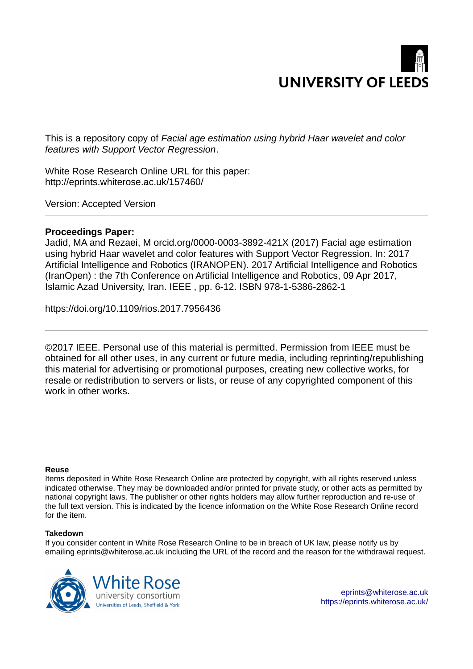

This is a repository copy of *Facial age estimation using hybrid Haar wavelet and color features with Support Vector Regression*.

White Rose Research Online URL for this paper: http://eprints.whiterose.ac.uk/157460/

Version: Accepted Version

## **Proceedings Paper:**

Jadid, MA and Rezaei, M orcid.org/0000-0003-3892-421X (2017) Facial age estimation using hybrid Haar wavelet and color features with Support Vector Regression. In: 2017 Artificial Intelligence and Robotics (IRANOPEN). 2017 Artificial Intelligence and Robotics (IranOpen) : the 7th Conference on Artificial Intelligence and Robotics, 09 Apr 2017, Islamic Azad University, Iran. IEEE , pp. 6-12. ISBN 978-1-5386-2862-1

https://doi.org/10.1109/rios.2017.7956436

©2017 IEEE. Personal use of this material is permitted. Permission from IEEE must be obtained for all other uses, in any current or future media, including reprinting/republishing this material for advertising or promotional purposes, creating new collective works, for resale or redistribution to servers or lists, or reuse of any copyrighted component of this work in other works.

## **Reuse**

Items deposited in White Rose Research Online are protected by copyright, with all rights reserved unless indicated otherwise. They may be downloaded and/or printed for private study, or other acts as permitted by national copyright laws. The publisher or other rights holders may allow further reproduction and re-use of the full text version. This is indicated by the licence information on the White Rose Research Online record for the item.

## **Takedown**

If you consider content in White Rose Research Online to be in breach of UK law, please notify us by emailing eprints@whiterose.ac.uk including the URL of the record and the reason for the withdrawal request.

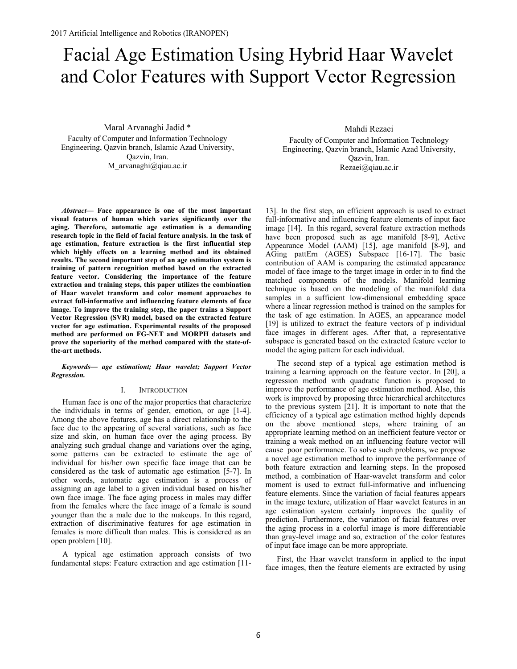# Facial Age Estimation Using Hybrid Haar Wavelet and Color Features with Support Vector Regression

Maral Arvanaghi Jadid \* Faculty of Computer and Information Technology Engineering, Qazvin branch, Islamic Azad University, Qazvin, Iran. M\_arvanaghi@qiau.ac.ir

*Abstract***— Face appearance is one of the most important visual features of human which varies significantly over the aging. Therefore, automatic age estimation is a demanding research topic in the field of facial feature analysis. In the task of age estimation, feature extraction is the first influential step which highly effects on a learning method and its obtained results. The second important step of an age estimation system is training of pattern recognition method based on the extracted feature vector. Considering the importance of the feature extraction and training steps, this paper utilizes the combination of Haar wavelet transform and color moment approaches to extract full-informative and influencing feature elements of face image. To improve the training step, the paper trains a Support Vector Regression (SVR) model, based on the extracted feature vector for age estimation. Experimental results of the proposed method are performed on FG-NET and MORPH datasets and prove the superiority of the method compared with the state-ofthe-art methods.** 

Keywords— age estimationt; Haar wavelet; Support Vector *Regression.* 

#### I. INTRODUCTION

Human face is one of the major properties that characterize the individuals in terms of gender, emotion, or age [1-4]. Among the above features, age has a direct relationship to the face due to the appearing of several variations, such as face size and skin, on human face over the aging process. By analyzing such gradual change and variations over the aging, some patterns can be extracted to estimate the age of individual for his/her own specific face image that can be considered as the task of automatic age estimation [5-7]. In other words, automatic age estimation is a process of assigning an age label to a given individual based on his/her own face image. The face aging process in males may differ from the females where the face image of a female is sound younger than the a male due to the makeups. In this regard, extraction of discriminative features for age estimation in females is more difficult than males. This is considered as an open problem [10].

A typical age estimation approach consists of two fundamental steps: Feature extraction and age estimation [11-

Mahdi Rezaei Faculty of Computer and Information Technology Engineering, Qazvin branch, Islamic Azad University, Qazvin, Iran. Rezaei@qiau.ac.ir

13]. In the first step, an efficient approach is used to extract full-informative and influencing feature elements of input face image [14]. In this regard, several feature extraction methods have been proposed such as age manifold [8-9], Active Appearance Model (AAM) [15], age manifold [8-9], and AGing pattErn (AGES) Subspace [16-17]. The basic contribution of AAM is comparing the estimated appearance model of face image to the target image in order in to find the matched components of the models. Manifold learning technique is based on the modeling of the manifold data samples in a sufficient low-dimensional embedding space where a linear regression method is trained on the samples for the task of age estimation. In AGES, an appearance model [19] is utilized to extract the feature vectors of p individual face images in different ages. After that, a representative subspace is generated based on the extracted feature vector to model the aging pattern for each individual.

The second step of a typical age estimation method is training a learning approach on the feature vector. In [20], a regression method with quadratic function is proposed to improve the performance of age estimation method. Also, this work is improved by proposing three hierarchical architectures to the previous system [21]. It is important to note that the efficiency of a typical age estimation method highly depends on the above mentioned steps, where training of an appropriate learning method on an inefficient feature vector or training a weak method on an influencing feature vector will cause poor performance. To solve such problems, we propose a novel age estimation method to improve the performance of both feature extraction and learning steps. In the proposed method, a combination of Haar-wavelet transform and color moment is used to extract full-informative and influencing feature elements. Since the variation of facial features appears in the image texture, utilization of Haar wavelet features in an age estimation system certainly improves the quality of prediction. Furthermore, the variation of facial features over the aging process in a colorful image is more differentiable than gray-level image and so, extraction of the color features of input face image can be more appropriate.

First, the Haar wavelet transform in applied to the input face images, then the feature elements are extracted by using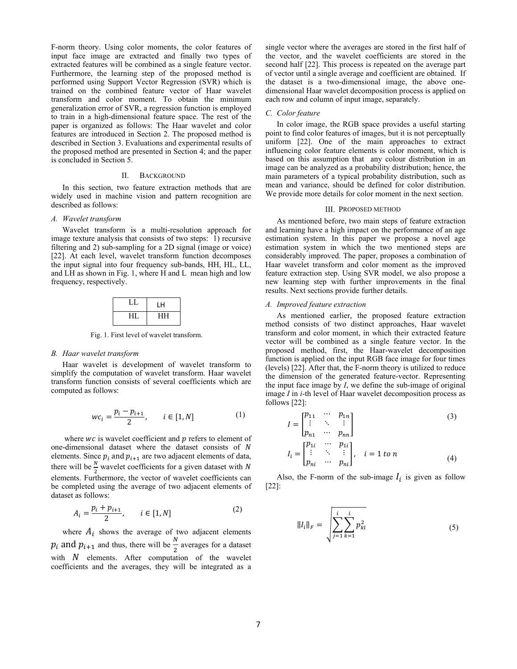F-norm theory. Using color moments, the color features of input face image are extracted and finally two types of extracted features will be combined as a single feature vector. Furthermore, the learning step of the proposed method is performed using Support Vector Regression (SVR) which is trained on the combined feature vector of Haar wavelet transform and color moment. To obtain the minimum generalization error of SVR, a regression function is employed to train in a high-dimensional feature space. The rest of the paper is organized as follows: The Haar wavelet and color features are introduced in Section 2. The proposed method is described in Section 3. Evaluations and experimental results of the proposed method are presented in Section 4; and the paper is concluded in Section 5.

#### II. BACKGROUND

In this section, two feature extraction methods that are widely used in machine vision and pattern recognition are described as follows:

#### *A. Wavelet transform*

Wavelet transform is a multi-resolution approach for image texture analysis that consists of two steps: 1) recursive filtering and 2) sub-sampling for a 2D signal (image or voice) [22]. At each level, wavelet transform function decomposes the input signal into four frequency sub-bands, HH, HL, LL, and LH as shown in Fig. 1, where H and L mean high and low frequency, respectively.

|    | ۱н |  |  |
|----|----|--|--|
| нı | HН |  |  |

Fig. 1. First level of wavelet transform.

#### *B. Haar wavelet transform*

Haar wavelet is development of wavelet transform to simplify the computation of wavelet transform. Haar wavelet transform function consists of several coefficients which are computed as follows:

$$
wc_i = \frac{p_i - p_{i+1}}{2}, \qquad i \in [1, N]
$$
 (1)

where  $wc$  is wavelet coefficient and  $p$  refers to element of one-dimensional dataset where the dataset consists of  $N$ elements. Since  $p_i$  and  $p_{i+1}$  are two adjacent elements of data, there will be  $\frac{N}{2}$  wavelet coefficients for a given dataset with N elements. Furthermore, the vector of wavelet coefficients can be completed using the average of two adjacent elements of dataset as follows:

$$
A_i = \frac{p_i + p_{i+1}}{2}, \qquad i \in [1, N]
$$
 (2)

where  $A_i$  shows the average of two adjacent elements  $p_i$  and  $p_{i+1}$  and thus, there will be  $\frac{N}{2}$  averages for a dataset with  $N$  elements. After computation of the wavelet coefficients and the averages, they will be integrated as a

single vector where the averages are stored in the first half of the vector, and the wavelet coefficients are stored in the second half [22]. This process is repeated on the average part of vector until a single average and coefficient are obtained. If the dataset is a two-dimensional image, the above onedimensional Haar wavelet decomposition process is applied on each row and column of input image, separately.

#### *C. Color feature*

In color image, the RGB space provides a useful starting point to find color features of images, but it is not perceptually uniform [22]. One of the main approaches to extract influencing color feature elements is color moment, which is based on this assumption that any colour distribution in an image can be analyzed as a probability distribution; hence, the main parameters of a typical probability distribution, such as mean and variance, should be defined for color distribution. We provide more details for color moment in the next section.

#### III. PROPOSED METHOD

As mentioned before, two main steps of feature extraction and learning have a high impact on the performance of an age estimation system. In this paper we propose a novel age estimation system in which the two mentioned steps are considerably improved. The paper, proposes a combination of Haar wavelet transform and color moment as the improved feature extraction step. Using SVR model, we also propose a new learning step with further improvements in the final results. Next sections provide further details.

#### *A. Improved feature extraction*

As mentioned earlier, the proposed feature extraction method consists of two distinct approaches, Haar wavelet transform and color moment, in which their extracted feature vector will be combined as a single feature vector. In the proposed method, first, the Haar-wavelet decomposition function is applied on the input RGB face image for four times (levels) [22]. After that, the F-norm theory is utilized to reduce the dimension of the generated feature-vector. Representing the input face image by *I*, we define the sub-image of original image *I* in *i*-th level of Haar wavelet decomposition process as follows [22]:

$$
I = \begin{bmatrix} p_{11} & \cdots & p_{1n} \\ \vdots & \ddots & \vdots \\ \vdots & \ddots & \vdots \end{bmatrix} \tag{3}
$$

$$
I_{i} = \begin{bmatrix} p_{1i} & \cdots & p_{nn} \\ \vdots & \ddots & \vdots \\ p_{ni} & \cdots & p_{ni} \end{bmatrix}, \quad i = 1 \text{ to } n \tag{4}
$$

Also, the F-norm of the sub-image  $I_i$  is given as follow [22]:

$$
||I_{l}||_{F} = \sqrt{\sum_{j=1}^{i} \sum_{k=1}^{i} p_{kl}^{2}}
$$
 (5)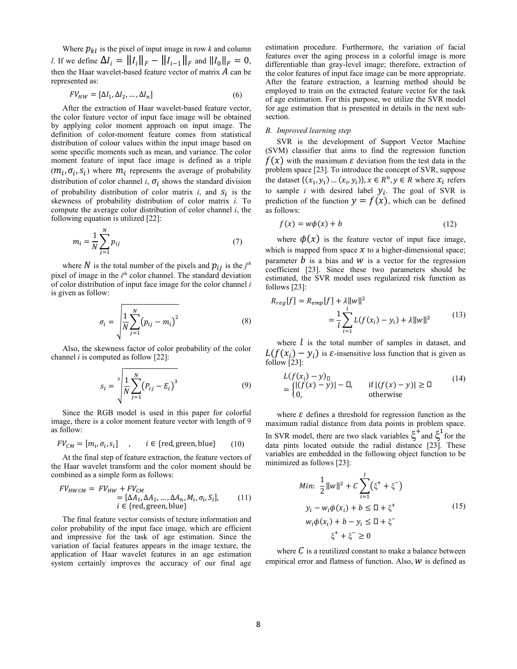Where  $p_{kl}$  is the pixel of input image in row  $k$  and column *l*. If we define  $\Delta I_i = ||I_i||_F - ||I_{i-1}||_F$  and  $||I_0||_F = 0$ , then the Haar wavelet-based feature vector of matrix  $A$  can be represented as:

$$
FV_{HW} = [\Delta I_1, \Delta I_2, \dots, \Delta I_n]
$$
 (6)

After the extraction of Haar wavelet-based feature vector, the color feature vector of input face image will be obtained by applying color moment approach on input image. The definition of color-moment feature comes from statistical distribution of colour values within the input image based on some specific moments such as mean, and variance. The color moment feature of input face image is defined as a triple  $(m_i, \sigma_i, s_i)$  where  $m_i$  represents the average of probability distribution of color channel *i*,  $\sigma_i$  shows the standard division of probability distribution of color matrix  $i$ , and  $S_i$  is the skewness of probability distribution of color matrix *i*. To compute the average color distribution of color channel *i*, the following equation is utilized [22]:

$$
m_i = \frac{1}{N} \sum_{j=1}^{N} p_{ij}
$$
 (7)

where  $N$  is the total number of the pixels and  $p_{ij}$  is the *j<sup>th</sup>* pixel of image in the *i<sup>th</sup>* color channel. The standard deviation of color distribution of input face image for the color channel *i* is given as follow:

$$
\sigma_i = \sqrt{\frac{1}{N} \sum_{j=1}^{N} (p_{ij} - m_i)^2}
$$
 (8)

Also, the skewness factor of color probability of the color channel *i* is computed as follow [22]:

$$
s_i = \sqrt[3]{\frac{1}{N} \sum_{j=1}^{N} (P_{ij} - E_i)^3}
$$
 (9)

Since the RGB model is used in this paper for colorful image, there is a color moment feature vector with length of 9 as follow:

$$
FV_{CM} = [m_i, \sigma_i, s_i] \quad , \quad i \in \{ \text{red, green, blue} \} \tag{10}
$$

At the final step of feature extraction, the feature vectors of the Haar wavelet transform and the color moment should be combined as a simple form as follows:

$$
FV_{HWCM} = FV_{HW} + FV_{CM}
$$
  
=  $[\Delta A_1, \Delta A_2, ..., \Delta A_n, M_i, \sigma_i, S_i],$  (11)  
 $i \in \{\text{red, green, blue}\}\$ 

The final feature vector consists of texture information and color probability of the input face image, which are efficient and impressive for the task of age estimation. Since the variation of facial features appears in the image texture, the application of Haar wavelet features in an age estimation system certainly improves the accuracy of our final age

estimation procedure. Furthermore, the variation of facial features over the aging process in a colorful image is more differentiable than gray-level image; therefore, extraction of the color features of input face image can be more appropriate. After the feature extraction, a learning method should be employed to train on the extracted feature vector for the task of age estimation. For this purpose, we utilize the SVR model for age estimation that is presented in details in the next subsection.

#### *B. Improved learning step*

SVR is the development of Support Vector Machine (SVM) classifier that aims to find the regression function  $f(x)$  with the maximum  $\varepsilon$  deviation from the test data in the problem space [23]. To introduce the concept of SVR, suppose the dataset  $\{(x_1, y_1) ... (x_l, y_l)\}, x \in \mathbb{R}^n, y \in \mathbb{R}$  where  $x_i$  refers to sample *i* with desired label  $y_i$ . The goal of SVR is prediction of the function  $y = f(x)$ , which can be defined as follows:

$$
f(x) = w\phi(x) + b \tag{12}
$$

where  $\phi(x)$  is the feature vector of input face image, which is mapped from space  $x$  to a higher-dimensional space; parameter  $\hat{b}$  is a bias and  $\hat{w}$  is a vector for the regression coefficient [23]. Since these two parameters should be estimated, the SVR model uses regularized risk function as follows [23]:

$$
R_{reg}[f] = R_{emp}[f] + \lambda ||w||^2
$$
  
= 
$$
\frac{1}{l} \sum_{i=1}^{l} L(f(x_i) - y_i) + \lambda ||w||^2
$$
 (13)

where  $l$  is the total number of samples in dataset, and  $L(f(x_i) - y_i)$  is  $\varepsilon$ -insensitive loss function that is given as follow [23]:

$$
L(f(x_i) - y)_\square
$$
  
=  $\begin{cases} |f(x) - y_1| - \square, & \text{if } |f(x) - y_1| \ge \square \\ 0, & \text{otherwise} \end{cases}$  (14)

where  $\varepsilon$  defines a threshold for regression function as the maximum radial distance from data points in problem space. In SVR model, there are two slack variables  $\xi^+$  and  $\xi^1$  for the data pints located outside the radial distance [23]. These variables are embedded in the following object function to be minimized as follows [23]:

$$
Min: \frac{1}{2} ||w||^{2} + C \sum_{i=1}^{l} (\xi^{+} + \xi^{-})
$$
  
\n
$$
y_{i} - w_{i} \phi(x_{i}) + b \leq \Box + \xi^{+}
$$
  
\n
$$
w_{i} \phi(x_{i}) + b - y_{i} \leq \Box + \xi^{-}
$$
  
\n
$$
\xi^{+} + \xi^{-} \geq 0
$$
  
\n(15)

where  $C$  is a reutilized constant to make a balance between empirical error and flatness of function. Also,  $W$  is defined as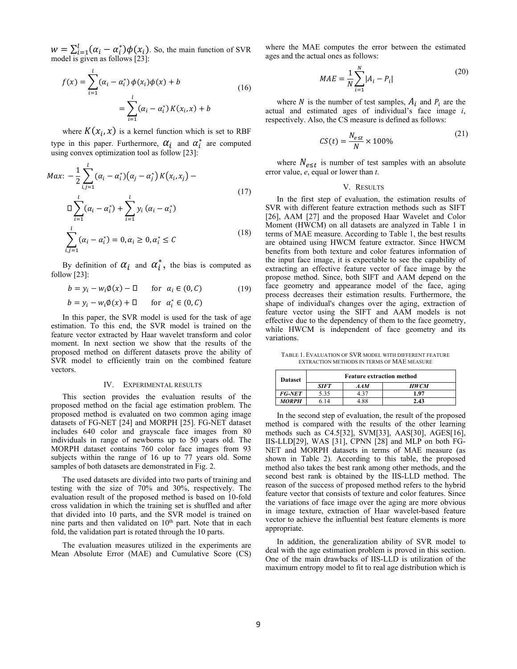$w = \sum_{i=1}^{l} (\alpha_i - \alpha_i^*) \phi(x_i)$ . So, the main function of SVR model is given as follows [23]:

$$
f(x) = \sum_{i=1}^{l} (\alpha_i - \alpha_i^*) \phi(x_i) \phi(x) + b
$$
  
= 
$$
\sum_{i=1}^{l} (\alpha_i - \alpha_i^*) K(x_i, x) + b
$$
 (16)

where  $K(x_i, x)$  is a kernel function which is set to RBF type in this paper. Furthermore,  $\alpha_i$  and  $\alpha_i^*$  are computed using convex optimization tool as follow [23]:

$$
Max: -\frac{1}{2} \sum_{i,j=1}^{l} (\alpha_i - \alpha_i^*) (\alpha_j - \alpha_j^*) K(x_i, x_j) -
$$
  
\n
$$
\Box \sum_{i=1}^{l} (\alpha_i - \alpha_i^*) + \sum_{i=1}^{l} y_i (\alpha_i - \alpha_i^*)
$$
  
\n
$$
\sum_{i,j=1}^{l} (\alpha_i - \alpha_i^*) = 0, \alpha_i \ge 0, \alpha_i^* \le C
$$
\n(18)

By definition of  $\alpha_i$  and  $\alpha_i^*$ , the bias is computed as follow [23]:

$$
b = y_i - w_i \emptyset(x) - \Box \qquad \text{for} \ \alpha_i \in (0, C) \tag{19}
$$

 $b = y_i - w_i \emptyset(x) + \Box$  for  $\alpha_i^* \in (0, C)$ 

In this paper, the SVR model is used for the task of age estimation. To this end, the SVR model is trained on the feature vector extracted by Haar wavelet transform and color moment. In next section we show that the results of the proposed method on different datasets prove the ability of SVR model to efficiently train on the combined feature vectors.

#### IV. EXPERIMENTAL RESULTS

This section provides the evaluation results of the proposed method on the facial age estimation problem. The proposed method is evaluated on two common aging image datasets of FG-NET [24] and MORPH [25]. FG-NET dataset includes 640 color and grayscale face images from 80 individuals in range of newborns up to 50 years old. The MORPH dataset contains 760 color face images from 93 subjects within the range of 16 up to 77 years old. Some samples of both datasets are demonstrated in Fig. 2.

The used datasets are divided into two parts of training and testing with the size of 70% and 30%, respectively. The evaluation result of the proposed method is based on 10-fold cross validation in which the training set is shuffled and after that divided into 10 parts, and the SVR model is trained on nine parts and then validated on  $10<sup>th</sup>$  part. Note that in each fold, the validation part is rotated through the 10 parts.

The evaluation measures utilized in the experiments are Mean Absolute Error (MAE) and Cumulative Score (CS) where the MAE computes the error between the estimated ages and the actual ones as follows:

$$
MAE = \frac{1}{N} \sum_{i=1}^{N} |A_i - P_i|
$$
 (20)

where N is the number of test samples,  $A_i$  and  $P_i$  are the actual and estimated ages of individual's face image *i*, respectively. Also, the CS measure is defined as follows:

$$
CS(t) = \frac{N_{est}}{N} \times 100\%
$$
\n(21)

where  $N_{e \leq t}$  is number of test samples with an absolute error value, *e*, equal or lower than *t*.

#### V. RESULTS

In the first step of evaluation, the estimation results of SVR with different feature extraction methods such as SIFT [26], AAM [27] and the proposed Haar Wavelet and Color Moment (HWCM) on all datasets are analyzed in Table 1 in terms of MAE measure. According to Table 1, the best results are obtained using HWCM feature extractor. Since HWCM benefits from both texture and color features information of the input face image, it is expectable to see the capability of extracting an effective feature vector of face image by the propose method. Since, both SIFT and AAM depend on the face geometry and appearance model of the face, aging process decreases their estimation results. Furthermore, the shape of individual's changes over the aging, extraction of feature vector using the SIFT and AAM models is not effective due to the dependency of them to the face geometry, while HWCM is independent of face geometry and its variations.

TABLE 1. EVALUATION OF SVR MODEL WITH DIFFERENT FEATURE EXTRACTION METHODS IN TERMS OF MAE MEASURE

| <b>Dataset</b> | <b>Feature extraction method</b> |            |      |  |  |  |
|----------------|----------------------------------|------------|------|--|--|--|
|                | SIFT                             | <b>AAM</b> | нwсм |  |  |  |
| <i>FG-NET</i>  | 5.35                             |            | 1 97 |  |  |  |
| <b>MORPH</b>   |                                  |            | 2.43 |  |  |  |

In the second step of evaluation, the result of the proposed method is compared with the results of the other learning methods such as C4.5[32], SVM[33], AAS[30], AGES[16], IIS-LLD[29], WAS [31], CPNN [28] and MLP on both FG-NET and MORPH datasets in terms of MAE measure (as shown in Table 2). According to this table, the proposed method also takes the best rank among other methods, and the second best rank is obtained by the IIS-LLD method. The reason of the success of proposed method refers to the hybrid feature vector that consists of texture and color features. Since the variations of face image over the aging are more obvious in image texture, extraction of Haar wavelet-based feature vector to achieve the influential best feature elements is more appropriate.

In addition, the generalization ability of SVR model to deal with the age estimation problem is proved in this section. One of the main drawbacks of IIS-LLD is utilization of the maximum entropy model to fit to real age distribution which is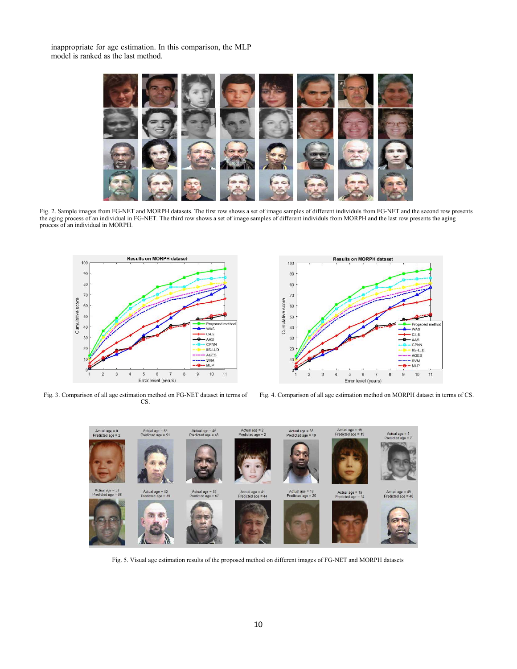inappropriate for age estimation. In this comparison, the MLP model is ranked as the last method.



Fig. 2. Sample images from FG-NET and MORPH datasets. The first row shows a set of image samples of different individuls from FG-NET and the second row presents the aging process of an individual in FG-NET. The third row shows a set of image samples of different individuls from MORPH and the last row presents the aging process of an individual in MORPH.



Fig. 3. Comparison of all age estimation method on FG-NET dataset in terms of CS.



Fig. 4. Comparison of all age estimation method on MORPH dataset in terms of CS.



Fig. 5. Visual age estimation results of the proposed method on different images of FG-NET and MORPH datasets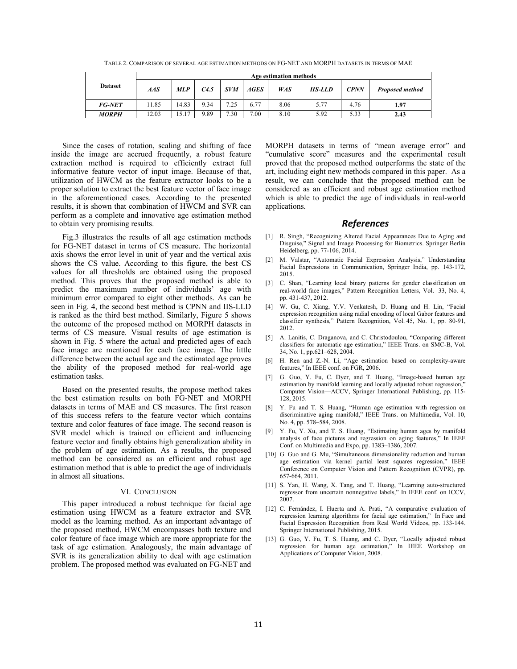TABLE 2. COMPARISON OF SEVERAL AGE ESTIMATION METHODS ON FG-NET AND MORPH DATASETS IN TERMS OF MAE

|                | Age estimation methods |            |      |            |             |            |                |             |                 |
|----------------|------------------------|------------|------|------------|-------------|------------|----------------|-------------|-----------------|
| <b>Dataset</b> | AAS                    | <b>MLP</b> | C4.5 | <b>SVM</b> | <b>AGES</b> | <b>WAS</b> | <b>IIS-LLD</b> | <b>CPNN</b> | Proposed method |
| <b>FG-NET</b>  | 11.85                  | 14.83      | 9.34 | 7.25       | 6.77        | 8.06       | 5.77           | 4.76        | 1.97            |
| MORPH          | 12.03                  | 15.17      | 9.89 | 7.30       | 7.00        | 8.10       | 5.92           | 5.33        | 2.43            |

Since the cases of rotation, scaling and shifting of face inside the image are accrued frequently, a robust feature extraction method is required to efficiently extract full informative feature vector of input image. Because of that, utilization of HWCM as the feature extractor looks to be a proper solution to extract the best feature vector of face image in the aforementioned cases. According to the presented results, it is shown that combination of HWCM and SVR can perform as a complete and innovative age estimation method to obtain very promising results.

Fig.3 illustrates the results of all age estimation methods for FG-NET dataset in terms of CS measure. The horizontal axis shows the error level in unit of year and the vertical axis shows the CS value. According to this figure, the best CS values for all thresholds are obtained using the proposed method. This proves that the proposed method is able to predict the maximum number of individuals' age with minimum error compared to eight other methods. As can be seen in Fig. 4, the second best method is CPNN and IIS-LLD is ranked as the third best method. Similarly, Figure 5 shows the outcome of the proposed method on MORPH datasets in terms of CS measure. Visual results of age estimation is shown in Fig. 5 where the actual and predicted ages of each face image are mentioned for each face image. The little difference between the actual age and the estimated age proves the ability of the proposed method for real-world age estimation tasks.

Based on the presented results, the propose method takes the best estimation results on both FG-NET and MORPH datasets in terms of MAE and CS measures. The first reason of this success refers to the feature vector which contains texture and color features of face image. The second reason is SVR model which is trained on efficient and influencing feature vector and finally obtains high generalization ability in the problem of age estimation. As a results, the proposed method can be considered as an efficient and robust age estimation method that is able to predict the age of individuals in almost all situations.

#### VI. CONCLUSION

This paper introduced a robust technique for facial age estimation using HWCM as a feature extractor and SVR model as the learning method. As an important advantage of the proposed method, HWCM encompasses both texture and color feature of face image which are more appropriate for the task of age estimation. Analogously, the main advantage of SVR is its generalization ability to deal with age estimation problem. The proposed method was evaluated on FG-NET and

MORPH datasets in terms of "mean average error" and "cumulative score" measures and the experimental result proved that the proposed method outperforms the state of the art, including eight new methods compared in this paper. As a result, we can conclude that the proposed method can be considered as an efficient and robust age estimation method which is able to predict the age of individuals in real-world applications.

### **References**

- [1] R. Singh, "Recognizing Altered Facial Appearances Due to Aging and Disguise," Signal and Image Processing for Biometrics. Springer Berlin Heidelberg, pp. 77-106, 2014.
- [2] M. Valstar, "Automatic Facial Expression Analysis," Understanding Facial Expressions in Communication, Springer India, pp. 143-172, 2015.
- [3] C. Shan, "Learning local binary patterns for gender classification on real-world face images," Pattern Recognition Letters, Vol. 33, No. 4, pp. 431-437, 2012.
- W. Gu, C. Xiang, Y.V. Venkatesh, D. Huang and H. Lin, "Facial expression recognition using radial encoding of local Gabor features and classifier synthesis," Pattern Recognition, Vol. 45, No. 1, pp. 80-91, 2012.
- [5] A. Lanitis, C. Draganova, and C. Christodoulou, "Comparing different classifiers for automatic age estimation," IEEE Trans. on SMC-B, Vol. 34, No. 1, pp.621–628, 2004.
- [6] H. Ren and Z.-N. Li, "Age estimation based on complexity-aware features," In IEEE conf. on FGR, 2006.
- [7] G. Guo, Y. Fu, C. Dyer, and T. Huang, "Image-based human age estimation by manifold learning and locally adjusted robust regression, Computer Vision—ACCV, Springer International Publishing, pp. 115- 128, 2015.
- [8] Y. Fu and T. S. Huang, "Human age estimation with regression on discriminative aging manifold," IEEE Trans. on Multimedia, Vol. 10, No. 4, pp. 578–584, 2008.
- [9] Y. Fu, Y. Xu, and T. S. Huang, "Estimating human ages by manifold analysis of face pictures and regression on aging features," In IEEE Conf. on Multimedia and Expo, pp. 1383–1386, 2007.
- [10] G. Guo and G. Mu, "Simultaneous dimensionality reduction and human age estimation via kernel partial least squares regression," IEEE Conference on Computer Vision and Pattern Recognition (CVPR), pp. 657-664, 2011.
- [11] S. Yan, H. Wang, X. Tang, and T. Huang, "Learning auto-structured regressor from uncertain nonnegative labels," In IEEE conf. on ICCV, 2007.
- [12] C. Fernández, I. Huerta and A. Prati, "A comparative evaluation of regression learning algorithms for facial age estimation," In Face and Facial Expression Recognition from Real World Videos, pp. 133-144. Springer International Publishing, 2015.
- [13] G. Guo, Y. Fu, T. S. Huang, and C. Dyer, "Locally adjusted robust regression for human age estimation," In IEEE Workshop on Applications of Computer Vision, 2008.